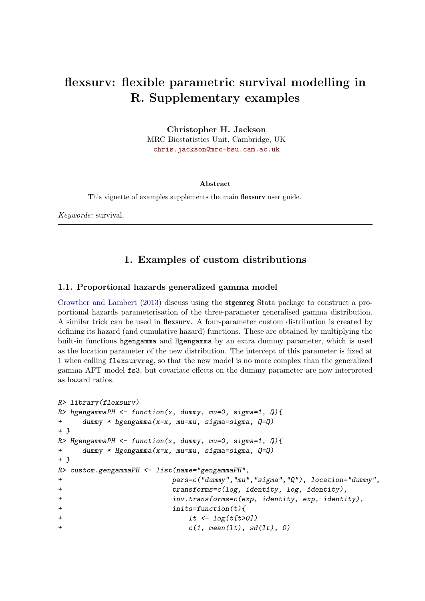# flexsurv: flexible parametric survival modelling in R. Supplementary examples

Christopher H. Jackson MRC Biostatistics Unit, Cambridge, UK [chris.jackson@mrc-bsu.cam.ac.uk](mailto:chris.jackson@mrc-bsu.cam.ac.uk)

#### Abstract

This vignette of examples supplements the main flexsurv user guide.

Keywords: survival.

### 1. Examples of custom distributions

### 1.1. Proportional hazards generalized gamma model

[Crowther and Lambert](#page-5-0) [\(2013\)](#page-5-0) discuss using the stgenreg Stata package to construct a proportional hazards parameterisation of the three-parameter generalised gamma distribution. A similar trick can be used in flexsurv. A four-parameter custom distribution is created by defining its hazard (and cumulative hazard) functions. These are obtained by multiplying the built-in functions hgengamma and Hgengamma by an extra dummy parameter, which is used as the location parameter of the new distribution. The intercept of this parameter is fixed at 1 when calling flexsurvreg, so that the new model is no more complex than the generalized gamma AFT model fs3, but covariate effects on the dummy parameter are now interpreted as hazard ratios.

```
R> library(flexsurv)
R> hgengammaPH \le function(x, dummy, mu=0, sigma=1, Q){
+ dummy * hgengamma(x=x, mu=mu, sigma=sigma, Q=Q)
+ }
R> HgengammaPH \le function(x, dummy, mu=0, sigma=1, Q){
+ dummy * Hgengamma(x=x, mu=mu, sigma=sigma, Q=Q)
+ }
R> custom.gengammaPH <- list(name="gengammaPH",
+ pars=c("dummy","mu","sigma","Q"), location="dummy",
+ transforms=c(log, identity, log, identity),
+ inv.transforms=c(exp, identity, exp, identity),
+ inits=function(t){
+ lt \sim log(t[t>0])+ c(1, \text{mean}(lt), \text{sd}(lt), 0)
```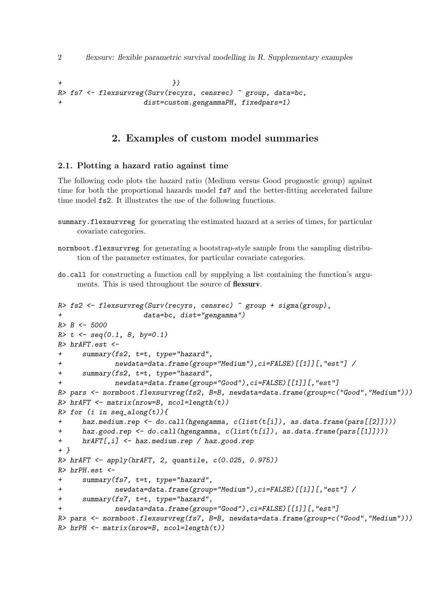2 flexsurv: flexible parametric survival modelling in R. Supplementary examples

```
+ })
R> fs7 <- flexsurvreg(Surv(recyrs, censrec) ~ group, data=bc,
                 dist=custom.gengammaPH, fixedpars=1)
```
## 2. Examples of custom model summaries

### 2.1. Plotting a hazard ratio against time

The following code plots the hazard ratio (Medium versus Good prognostic group) against time for both the proportional hazards model fs7 and the better-fitting accelerated failure time model fs2. It illustrates the use of the following functions.

- summary.flexsurvreg for generating the estimated hazard at a series of times, for particular covariate categories.
- normboot.flexsurvreg for generating a bootstrap-style sample from the sampling distribution of the parameter estimates, for particular covariate categories.
- do.call for constructing a function call by supplying a list containing the function's arguments. This is used throughout the source of flexsurv.

```
R> fs2 <- flexsurvreg(Surv(recyrs, censrec) ~ group + sigma(group),
                    data=bc, dist="gengamma")
R > B < -5000R > t <- seq(0.1, 8, by=0.1)
R> hrAFT.est <-
+ summary(fs2, t=t, type="hazard",
+ newdata=data.frame(group="Medium"),ci=FALSE)[[1]][,"est"] /
+ summary(fs2, t=t, type="hazard",
             newdata=data.frame(group="Good"),ci=FALSE)[[1]][,"est"]
R> pars <- normboot.flexsurvreg(fs2, B=B, newdata=data.frame(group=c("Good","Medium")))
R> hrAFT <- matrix(nrow=B, ncol=length(t))
R> for (i in seq_along(t)){
+ haz.medium.rep <- do.call(hgengamma, c(list(t[i]), as.data.frame(pars[[2]])))
      haz.good.rep <- do.call(hgengamma, c(list(t[i]), as.data.frame(pars[[1]])))
+ hrAFT[,i] <- haz.medium.rep / haz.good.rep
+ }
R> hrAFT <- apply(hrAFT, 2, quantile, c(0.025, 0.975))
R> hrPH.est <-
+ summary(fs7, t=t, type="hazard",
+ newdata=data.frame(group="Medium"),ci=FALSE)[[1]][,"est"] /
+ summary(fs7, t=t, type="hazard",
             newdata=data.frame(group="Good"),ci=FALSE)[[1]][,"est"]
R> pars <- normboot.flexsurvreg(fs7, B=B, newdata=data.frame(group=c("Good","Medium")))
R> hrPH <- matrix(nrow=B, ncol=length(t))
```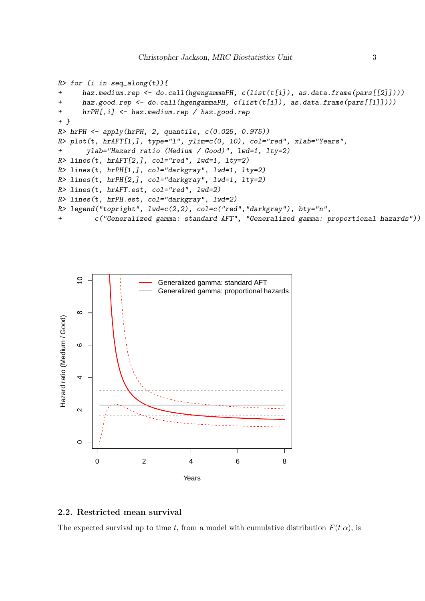```
R> for (i in seq_along(t)){
+ haz.medium.rep <- do.call(hgengammaPH, c(list(t[i]), as.data.frame(pars[[2]])))
      haz.good.rep <- do.call(hgengammaPH, c(list(t[i]), as.data.frame(pars[[1]])))
+ hrPH[,i] <- haz.medium.rep / haz.good.rep
+ }
R> hrPH <- apply(hrPH, 2, quantile, c(0.025, 0.975))
R> plot(t, hrAFT[1,], type="1", ylim=c(0, 10), col="red", xlab="Years",
+ ylab="Hazard ratio (Medium / Good)", lwd=1, lty=2)
R > lines(t, h rAFT[2,], col="red", lwd=1, lty=2)R> lines(t, hrPH[1,], col="darkgray", lwd=1, lty=2)
R> lines(t, hrPH[2,], col="darkgray", lwd=1, lty=2)
R> lines(t, hrAFT.est, col="red", lwd=2)
R> lines(t, hrPH.est, col="darkgray", lwd=2)
R> legend("topright", lwd=c(2,2), col=c("red","darkgray"), bty="n",
+ c("Generalized gamma: standard AFT", "Generalized gamma: proportional hazards"))
```


### 2.2. Restricted mean survival

The expected survival up to time t, from a model with cumulative distribution  $F(t|\alpha)$ , is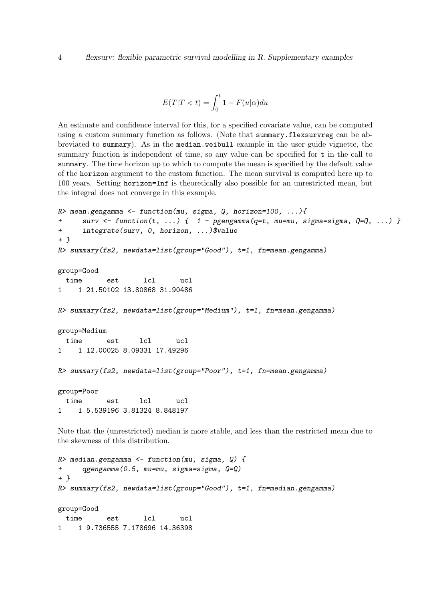$$
E(T|T < t) = \int_0^t 1 - F(u|\alpha) du
$$

An estimate and confidence interval for this, for a specified covariate value, can be computed using a custom summary function as follows. (Note that summary.flexsurvreg can be abbreviated to summary). As in the median.weibull example in the user guide vignette, the summary function is independent of time, so any value can be specified for t in the call to summary. The time horizon up to which to compute the mean is specified by the default value of the horizon argument to the custom function. The mean survival is computed here up to 100 years. Setting horizon=Inf is theoretically also possible for an unrestricted mean, but the integral does not converge in this example.

```
R mean.gengamma <- function(mu, sigma, Q, horizon=100, ...){
+ surv <- function(t, ...) { 1 - pgengamma(q=t, mu=mu, sigma=sigma, Q=Q, ...) }
+ integrate(surv, 0, horizon, ...)$value
+ }
R> summary(fs2, newdata=list(group="Good"), t=1, fn=mean.gengamma)
group=Good
 time est lcl ucl
1 1 21.50102 13.80868 31.90486
R> summary(fs2, newdata=list(group="Medium"), t=1, fn=mean.gengamma)
group=Medium
 time est lcl ucl
1 1 12.00025 8.09331 17.49296
R> summary(fs2, newdata=list(group="Poor"), t=1, fn=mean.gengamma)
group=Poor
 time est lcl ucl
1 1 5.539196 3.81324 8.848197
```
Note that the (unrestricted) median is more stable, and less than the restricted mean due to the skewness of this distribution.

```
R> median.gengamma <- function(mu, sigma, Q) {
+ qgengamma(0.5, mu=mu, sigma=sigma, Q=Q)
+ }
R> summary(fs2, newdata=list(group="Good"), t=1, fn=median.gengamma)
group=Good
 time est lcl ucl
1 1 9.736555 7.178696 14.36398
```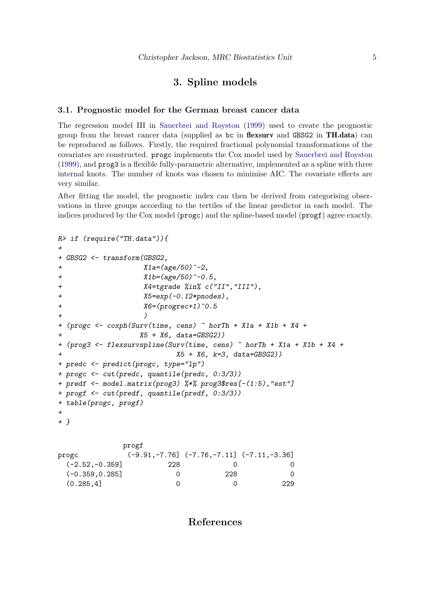### 3. Spline models

#### 3.1. Prognostic model for the German breast cancer data

The regression model III in [Sauerbrei and Royston](#page-5-1) [\(1999\)](#page-5-1) used to create the prognostic group from the breast cancer data (supplied as bc in flexsurv and GBSG2 in TH.data) can be reproduced as follows. Firstly, the required fractional polynomial transformations of the covariates are constructed. progc implements the Cox model used by [Sauerbrei and Royston](#page-5-1) [\(1999\)](#page-5-1), and prog3 is a flexible fully-parametric alternative, implemented as a spline with three internal knots. The number of knots was chosen to minimise AIC. The covariate effects are very similar.

After fitting the model, the prognostic index can then be derived from categorising observations in three groups according to the tertiles of the linear predictor in each model. The indices produced by the Cox model (progc) and the spline-based model (progf) agree exactly.

```
R> if (require("TH.data")){
+
+ GBSG2 <- transform(GBSG2,
+ X1a=(age/50)^{-2},
+ X1b=(age/50)^{-1}-0.5,
+ X4=tgrade %in% c("II","III"),
+ X5=exp(-0.12*pnodes),
+ X6=(progrec+1)^0.5
+ )
+ (progc <- coxph(Surv(time, cens) ~ horTh + X1a + X1b + X4 +
+ X5 + X6, data=GBSG2))
+ (prog3 <- flexsurvspline(Surv(time, cens) ~ horTh + X1a + X1b + X4 +
+ X5 + X6, k=3, data=GBSG2))
+ predc <- predict(progc, type="lp")
+ progc <- cut(predc, quantile(predc, 0:3/3))
+ predf <- model.matrix(prog3) %*% prog3$res[-(1:5),"est"]
+ progf <- cut(predf, quantile(predf, 0:3/3))
+ table(progc, progf)
+
+ }
```

| <b>DT OKT</b> |                                       |                                                    |
|---------------|---------------------------------------|----------------------------------------------------|
|               |                                       |                                                    |
| 228           |                                       |                                                    |
|               | 228                                   | 0                                                  |
|               |                                       | 229                                                |
|               | $(-2.52,-0.359]$<br>$(-0.359, 0.285]$ | $(-9.91, -7.76]$ $(-7.76, -7.11]$ $(-7.11, -3.36]$ |

progf

References